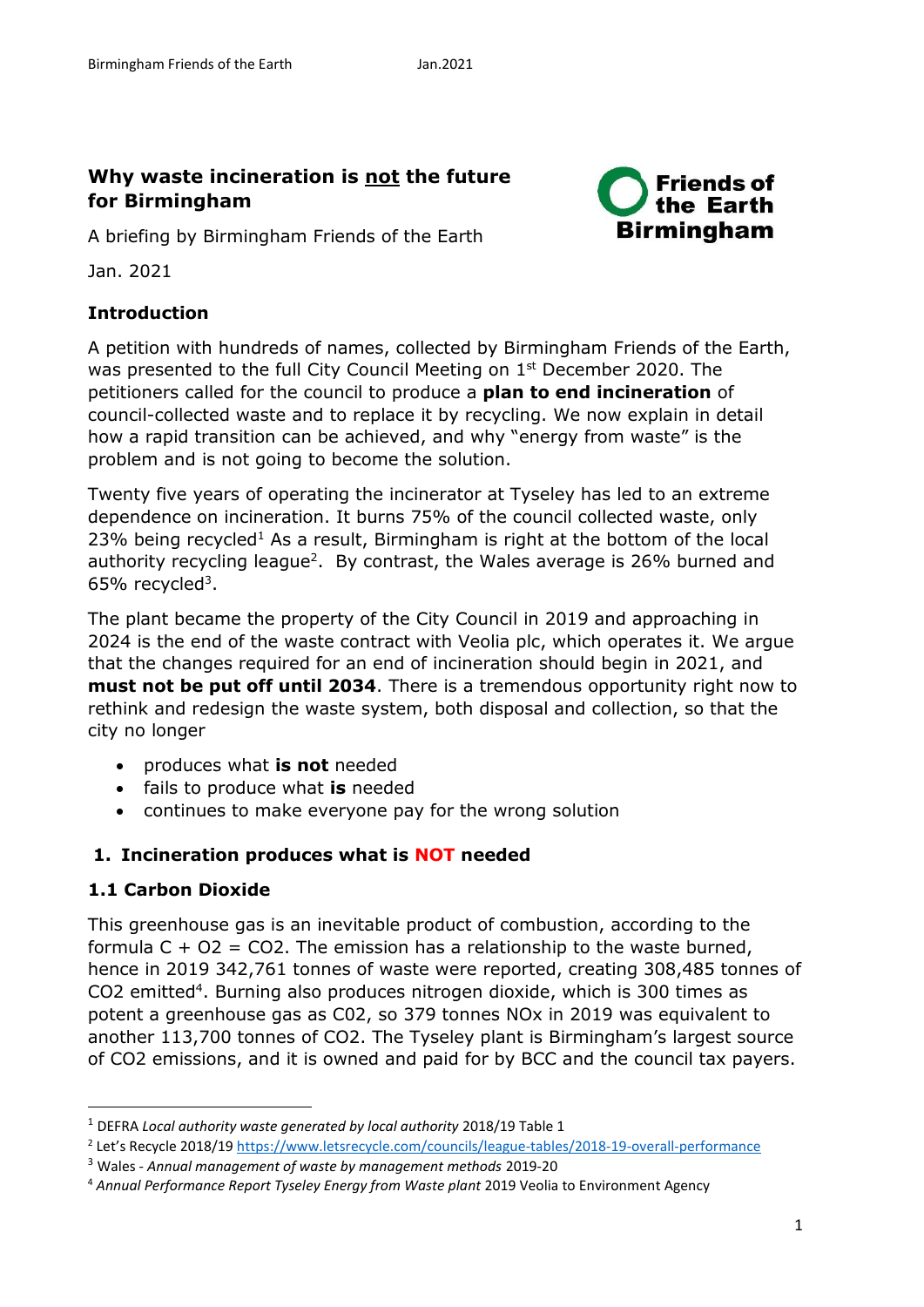**Friends of** the Earth

**Birmingham** 

# **Why waste incineration is not the future for Birmingham**

A briefing by Birmingham Friends of the Earth

Jan. 2021

### **Introduction**

A petition with hundreds of names, collected by Birmingham Friends of the Earth, was presented to the full City Council Meeting on 1<sup>st</sup> December 2020. The petitioners called for the council to produce a **plan to end incineration** of council-collected waste and to replace it by recycling. We now explain in detail how a rapid transition can be achieved, and why "energy from waste" is the problem and is not going to become the solution.

Twenty five years of operating the incinerator at Tyseley has led to an extreme dependence on incineration. It burns 75% of the council collected waste, only 23% being recycled<sup>1</sup> As a result, Birmingham is right at the bottom of the local authority recycling league<sup>2</sup>. By contrast, the Wales average is 26% burned and  $65\%$  recycled<sup>3</sup>.

The plant became the property of the City Council in 2019 and approaching in 2024 is the end of the waste contract with Veolia plc, which operates it. We argue that the changes required for an end of incineration should begin in 2021, and **must not be put off until 2034**. There is a tremendous opportunity right now to rethink and redesign the waste system, both disposal and collection, so that the city no longer

- produces what **is not** needed
- fails to produce what **is** needed
- continues to make everyone pay for the wrong solution

## **1. Incineration produces what is NOT needed**

## **1.1 Carbon Dioxide**

**.** 

This greenhouse gas is an inevitable product of combustion, according to the formula  $C + O2 = CO2$ . The emission has a relationship to the waste burned, hence in 2019 342,761 tonnes of waste were reported, creating 308,485 tonnes of CO2 emitted<sup>4</sup>. Burning also produces nitrogen dioxide, which is 300 times as potent a greenhouse gas as C02, so 379 tonnes NOx in 2019 was equivalent to another 113,700 tonnes of CO2. The Tyseley plant is Birmingham's largest source of CO2 emissions, and it is owned and paid for by BCC and the council tax payers.

<sup>1</sup> DEFRA *Local authority waste generated by local authority* 2018/19 Table 1

<sup>2</sup> Let's Recycle 2018/19<https://www.letsrecycle.com/councils/league-tables/2018-19-overall-performance>

<sup>3</sup> Wales - *Annual management of waste by management methods* 2019-20

<sup>4</sup> *Annual Performance Report Tyseley Energy from Waste plant* 2019 Veolia to Environment Agency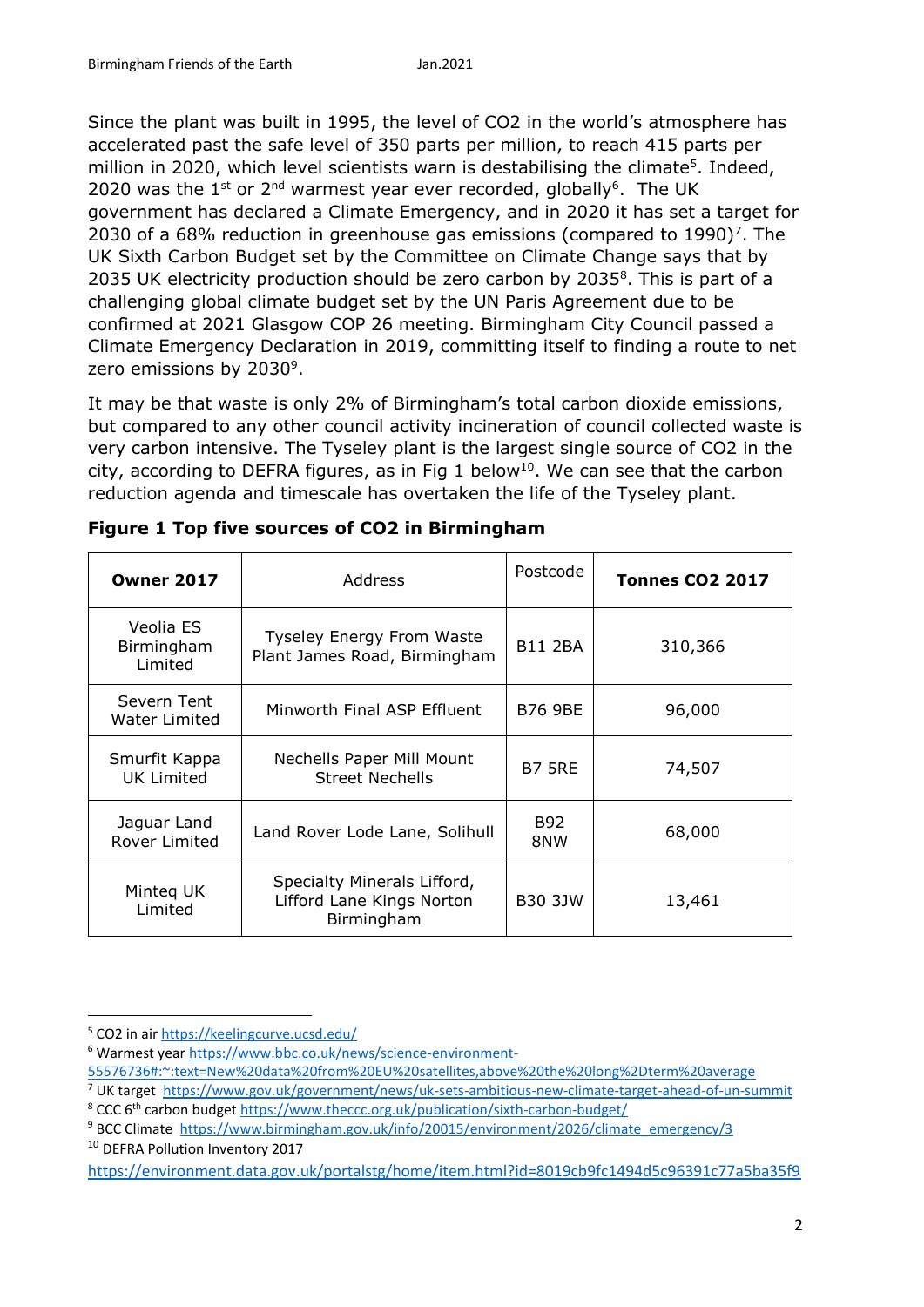Since the plant was built in 1995, the level of CO2 in the world's atmosphere has accelerated past the safe level of 350 parts per million, to reach 415 parts per million in 2020, which level scientists warn is destabilising the climate<sup>5</sup>. Indeed, 2020 was the 1<sup>st</sup> or 2<sup>nd</sup> warmest year ever recorded, globally<sup>6</sup>. The UK government has declared a Climate Emergency, and in 2020 it has set a target for 2030 of a 68% reduction in greenhouse gas emissions (compared to 1990)<sup>7</sup>. The UK Sixth Carbon Budget set by the Committee on Climate Change says that by 2035 UK electricity production should be zero carbon by 2035 $8$ . This is part of a challenging global climate budget set by the UN Paris Agreement due to be confirmed at 2021 Glasgow COP 26 meeting. Birmingham City Council passed a Climate Emergency Declaration in 2019, committing itself to finding a route to net zero emissions by 2030<sup>9</sup>.

It may be that waste is only 2% of Birmingham's total carbon dioxide emissions, but compared to any other council activity incineration of council collected waste is very carbon intensive. The Tyseley plant is the largest single source of CO2 in the city, according to DEFRA figures, as in Fig 1 below<sup>10</sup>. We can see that the carbon reduction agenda and timescale has overtaken the life of the Tyseley plant.

| <b>Owner 2017</b>                   | <b>Address</b>                                                         | Postcode       | <b>Tonnes CO2 2017</b> |  |  |
|-------------------------------------|------------------------------------------------------------------------|----------------|------------------------|--|--|
| Veolia ES<br>Birmingham<br>Limited  | <b>Tyseley Energy From Waste</b><br>Plant James Road, Birmingham       | <b>B11 2BA</b> | 310,366                |  |  |
| Severn Tent<br><b>Water Limited</b> | Minworth Final ASP Effluent                                            | <b>B76 9BE</b> | 96,000                 |  |  |
| Smurfit Kappa<br><b>UK Limited</b>  | Nechells Paper Mill Mount<br><b>Street Nechells</b>                    | <b>B7 5RE</b>  | 74,507                 |  |  |
| Jaguar Land<br><b>Rover Limited</b> | Land Rover Lode Lane, Solihull                                         | B92<br>8NW     | 68,000                 |  |  |
| Minteg UK<br>Limited                | Specialty Minerals Lifford,<br>Lifford Lane Kings Norton<br>Birmingham | <b>B30 3JW</b> | 13,461                 |  |  |

|  |  |  |  | Figure 1 Top five sources of CO2 in Birmingham |
|--|--|--|--|------------------------------------------------|
|  |  |  |  |                                                |

<sup>1</sup> <sup>5</sup> CO2 in air<https://keelingcurve.ucsd.edu/>

<sup>6</sup> Warmest year [https://www.bbc.co.uk/news/science-environment-](https://www.bbc.co.uk/news/science-environment-55576736#:~:text=New%20data%20from%20EU%20satellites,above%20the%20long%2Dterm%20average)

[<sup>55576736#:~:</sup>text=New%20data%20from%20EU%20satellites,above%20the%20long%2Dterm%20average](https://www.bbc.co.uk/news/science-environment-55576736#:~:text=New%20data%20from%20EU%20satellites,above%20the%20long%2Dterm%20average)

<sup>7</sup> UK target <https://www.gov.uk/government/news/uk-sets-ambitious-new-climate-target-ahead-of-un-summit>

<sup>&</sup>lt;sup>8</sup> CCC 6<sup>th</sup> carbon budget<https://www.theccc.org.uk/publication/sixth-carbon-budget/>

<sup>&</sup>lt;sup>9</sup> BCC Climate [https://www.birmingham.gov.uk/info/20015/environment/2026/climate\\_emergency/3](https://www.birmingham.gov.uk/info/20015/environment/2026/climate_emergency/3)

<sup>&</sup>lt;sup>10</sup> DEFRA Pollution Inventory 2017

https://environment.data.gov.uk/portalstg/home/item.html?id=8019cb9fc1494d5c96391c77a5ba35f9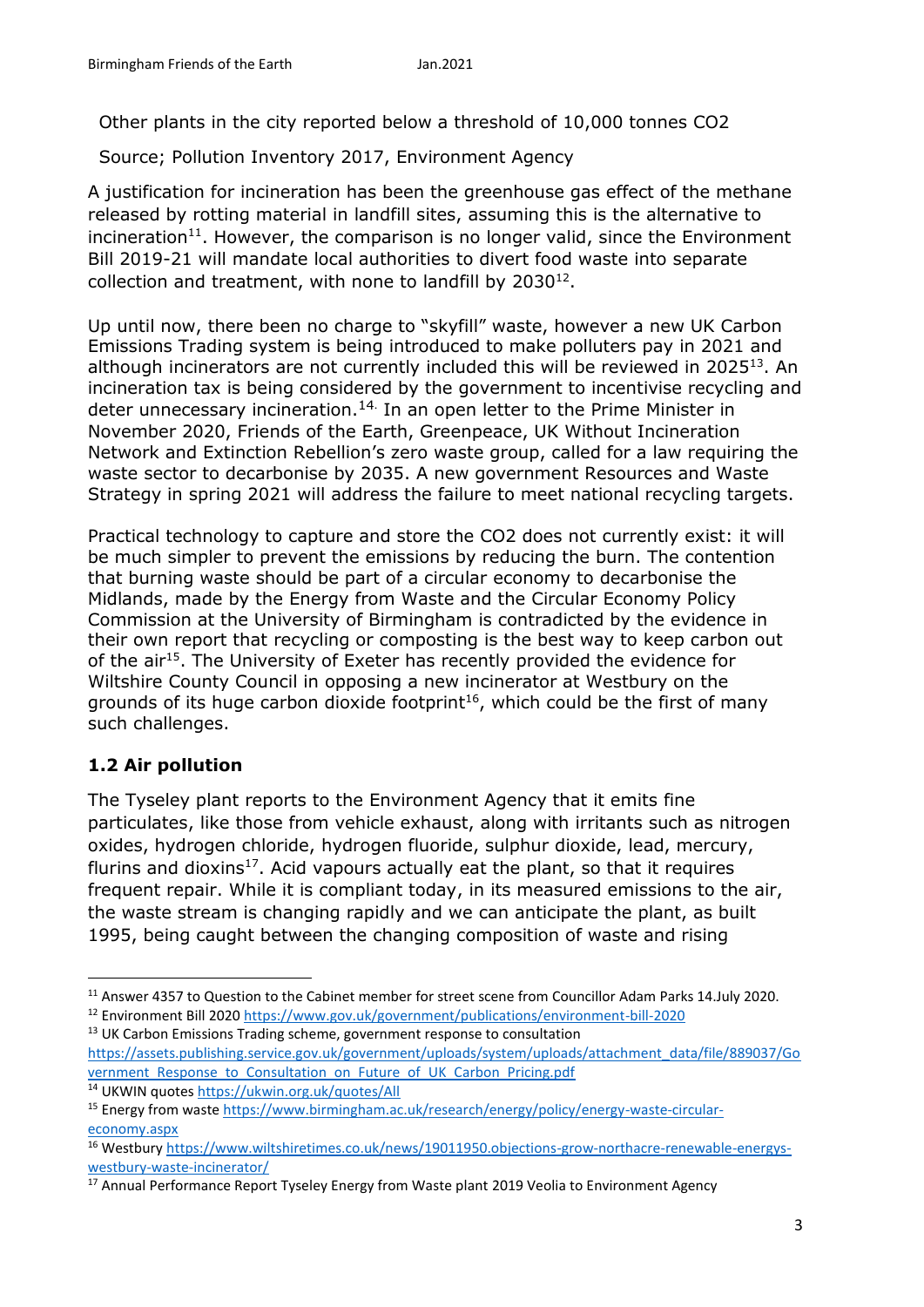Other plants in the city reported below a threshold of 10,000 tonnes CO2

Source; Pollution Inventory 2017, Environment Agency

A justification for incineration has been the greenhouse gas effect of the methane released by rotting material in landfill sites, assuming this is the alternative to incineration<sup>11</sup>. However, the comparison is no longer valid, since the Environment Bill 2019-21 will mandate local authorities to divert food waste into separate collection and treatment, with none to landfill by  $2030^{12}$ .

Up until now, there been no charge to "skyfill" waste, however a new UK Carbon Emissions Trading system is being introduced to make polluters pay in 2021 and although incinerators are not currently included this will be reviewed in 2025<sup>13</sup>. An incineration tax is being considered by the government to incentivise recycling and deter unnecessary incineration.<sup>14.</sup> In an open letter to the Prime Minister in November 2020, [Friends of the Earth,](https://www.theguardian.com/environment/friends-of-the-earth) Greenpeace, UK Without Incineration Network and Extinction Rebellion's zero waste group, called for a law requiring the waste sector to decarbonise by 2035. A new government Resources and Waste Strategy in spring 2021 will address the failure to meet national recycling targets.

Practical technology to capture and store the CO2 does not currently exist: it will be much simpler to prevent the emissions by reducing the burn. The contention that burning waste should be part of a circular economy to decarbonise the Midlands, made by the Energy from Waste and the Circular Economy Policy Commission at the University of Birmingham is contradicted by the evidence in their own report that recycling or composting is the best way to keep carbon out of the air<sup>15</sup>. The University of Exeter has recently provided the evidence for Wiltshire County Council in opposing a new incinerator at Westbury on the grounds of its huge carbon dioxide footprint<sup>16</sup>, which could be the first of many such challenges.

## **1.2 Air pollution**

**.** 

The Tyseley plant reports to the Environment Agency that it emits fine particulates, like those from vehicle exhaust, along with irritants such as nitrogen oxides, hydrogen chloride, hydrogen fluoride, sulphur dioxide, lead, mercury, flurins and dioxins<sup>17</sup>. Acid vapours actually eat the plant, so that it requires frequent repair. While it is compliant today, in its measured emissions to the air, the waste stream is changing rapidly and we can anticipate the plant, as built 1995, being caught between the changing composition of waste and rising

<sup>13</sup> UK Carbon Emissions Trading scheme, government response to consultation https://assets.publishing.service.gov.uk/government/uploads/system/uploads/attachment\_data/file/889037/Go vernment\_Response\_to\_Consultation\_on\_Future\_of\_UK\_Carbon\_Pricing.pdf

<sup>&</sup>lt;sup>11</sup> Answer 4357 to Question to the Cabinet member for street scene from Councillor Adam Parks 14.July 2020. <sup>12</sup> Environment Bill 2020<https://www.gov.uk/government/publications/environment-bill-2020>

<sup>14</sup> UKWIN quote[s https://ukwin.org.uk/quotes/All](https://ukwin.org.uk/quotes/All)

<sup>15</sup> Energy from waste [https://www.birmingham.ac.uk/research/energy/policy/energy-waste-circular](https://www.birmingham.ac.uk/research/energy/policy/energy-waste-circular-economy.aspx)[economy.aspx](https://www.birmingham.ac.uk/research/energy/policy/energy-waste-circular-economy.aspx)

<sup>16</sup> Westbury [https://www.wiltshiretimes.co.uk/news/19011950.objections-grow-northacre-renewable-energys](https://www.wiltshiretimes.co.uk/news/19011950.objections-grow-northacre-renewable-energys-westbury-waste-incinerator/)[westbury-waste-incinerator/](https://www.wiltshiretimes.co.uk/news/19011950.objections-grow-northacre-renewable-energys-westbury-waste-incinerator/)

<sup>&</sup>lt;sup>17</sup> Annual Performance Report Tyseley Energy from Waste plant 2019 Veolia to Environment Agency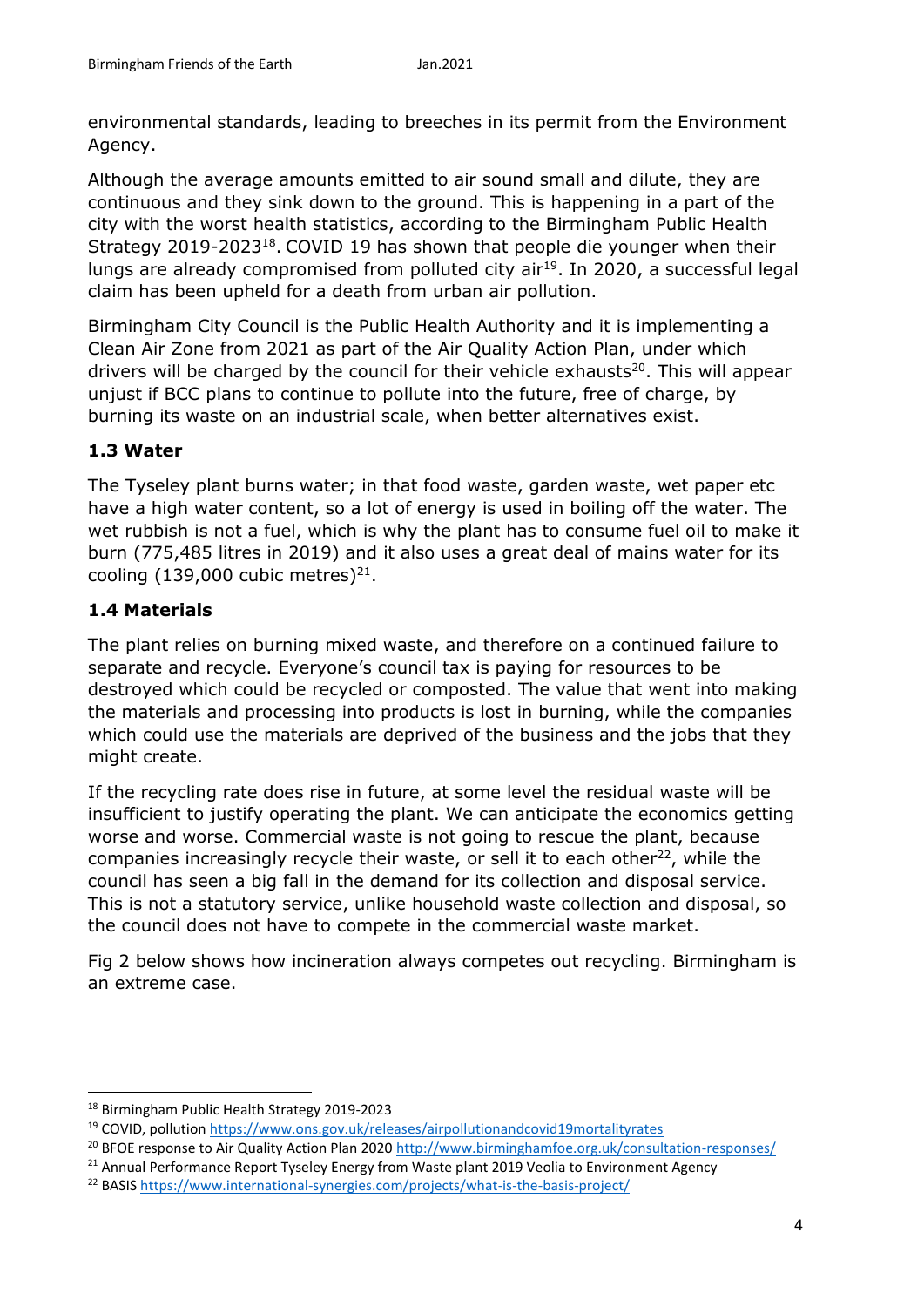environmental standards, leading to breeches in its permit from the Environment Agency.

Although the average amounts emitted to air sound small and dilute, they are continuous and they sink down to the ground. This is happening in a part of the city with the worst health statistics, according to the Birmingham Public Health Strategy 2019-2023<sup>18</sup>. COVID 19 has shown that people die younger when their lungs are already compromised from polluted city air<sup>19</sup>. In 2020, a successful legal claim has been upheld for a death from urban air pollution.

Birmingham City Council is the Public Health Authority and it is implementing a Clean Air Zone from 2021 as part of the Air Quality Action Plan, under which drivers will be charged by the council for their vehicle exhausts<sup>20</sup>. This will appear unjust if BCC plans to continue to pollute into the future, free of charge, by burning its waste on an industrial scale, when better alternatives exist.

# **1.3 Water**

The Tyseley plant burns water; in that food waste, garden waste, wet paper etc have a high water content, so a lot of energy is used in boiling off the water. The wet rubbish is not a fuel, which is why the plant has to consume fuel oil to make it burn (775,485 litres in 2019) and it also uses a great deal of mains water for its cooling  $(139,000$  cubic metres)<sup>21</sup>.

# **1.4 Materials**

The plant relies on burning mixed waste, and therefore on a continued failure to separate and recycle. Everyone's council tax is paying for resources to be destroyed which could be recycled or composted. The value that went into making the materials and processing into products is lost in burning, while the companies which could use the materials are deprived of the business and the jobs that they might create.

If the recycling rate does rise in future, at some level the residual waste will be insufficient to justify operating the plant. We can anticipate the economics getting worse and worse. Commercial waste is not going to rescue the plant, because companies increasingly recycle their waste, or sell it to each other $^{22}$ , while the council has seen a big fall in the demand for its collection and disposal service. This is not a statutory service, unlike household waste collection and disposal, so the council does not have to compete in the commercial waste market.

Fig 2 below shows how incineration always competes out recycling. Birmingham is an extreme case.

 $\overline{a}$ 

<sup>18</sup> Birmingham Public Health Strategy 2019-2023

<sup>19</sup> COVID, pollution<https://www.ons.gov.uk/releases/airpollutionandcovid19mortalityrates>

<sup>&</sup>lt;sup>20</sup> BFOE response to Air Quality Action Plan 2020<http://www.birminghamfoe.org.uk/consultation-responses/>

<sup>&</sup>lt;sup>21</sup> Annual Performance Report Tyseley Energy from Waste plant 2019 Veolia to Environment Agency

<sup>22</sup> BASI[S https://www.international-synergies.com/projects/what-is-the-basis-project/](https://www.international-synergies.com/projects/what-is-the-basis-project/)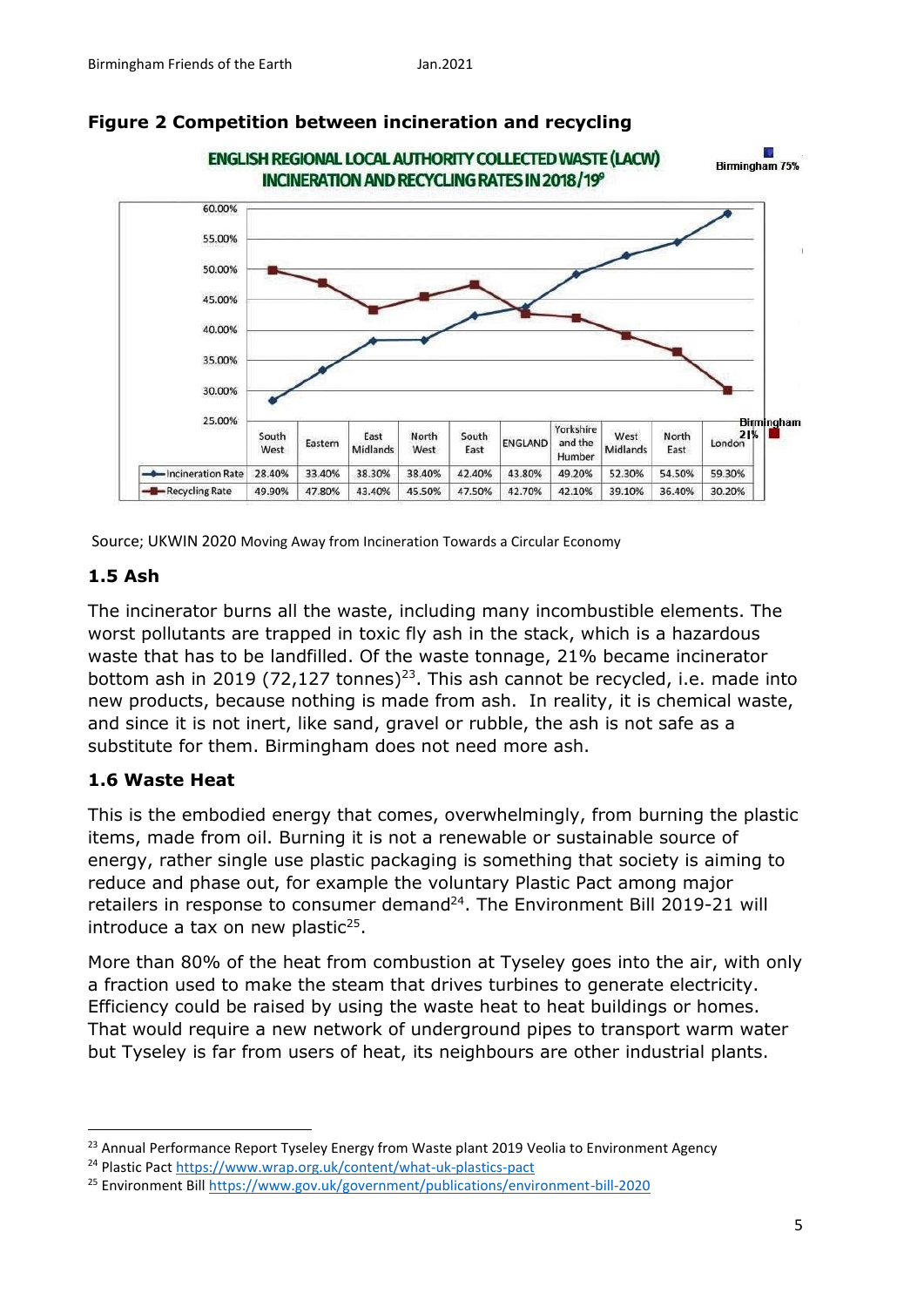

#### **Figure 2 Competition between incineration and recycling**

Source; UKWIN 2020 Moving Away from Incineration Towards a Circular Economy

#### **1.5 Ash**

The incinerator burns all the waste, including many incombustible elements. The worst pollutants are trapped in toxic fly ash in the stack, which is a hazardous waste that has to be landfilled. Of the waste tonnage, 21% became incinerator bottom ash in 2019 (72,127 tonnes)<sup>23</sup>. This ash cannot be recycled, i.e. made into new products, because nothing is made from ash. In reality, it is chemical waste, and since it is not inert, like sand, gravel or rubble, the ash is not safe as a substitute for them. Birmingham does not need more ash.

#### **1.6 Waste Heat**

**.** 

This is the embodied energy that comes, overwhelmingly, from burning the plastic items, made from oil. Burning it is not a renewable or sustainable source of energy, rather single use plastic packaging is something that society is aiming to reduce and phase out, for example the voluntary Plastic Pact among major retailers in response to consumer demand<sup>24</sup>. The Environment Bill 2019-21 will introduce a tax on new plastic $25$ .

More than 80% of the heat from combustion at Tyseley goes into the air, with only a fraction used to make the steam that drives turbines to generate electricity. Efficiency could be raised by using the waste heat to heat buildings or homes. That would require a new network of underground pipes to transport warm water but Tyseley is far from users of heat, its neighbours are other industrial plants.

<sup>&</sup>lt;sup>23</sup> Annual Performance Report Tyseley Energy from Waste plant 2019 Veolia to Environment Agency

<sup>24</sup> Plastic Pact https://www.wrap.org.uk/content/what-uk-plastics-pact

<sup>25</sup> Environment Bill<https://www.gov.uk/government/publications/environment-bill-2020>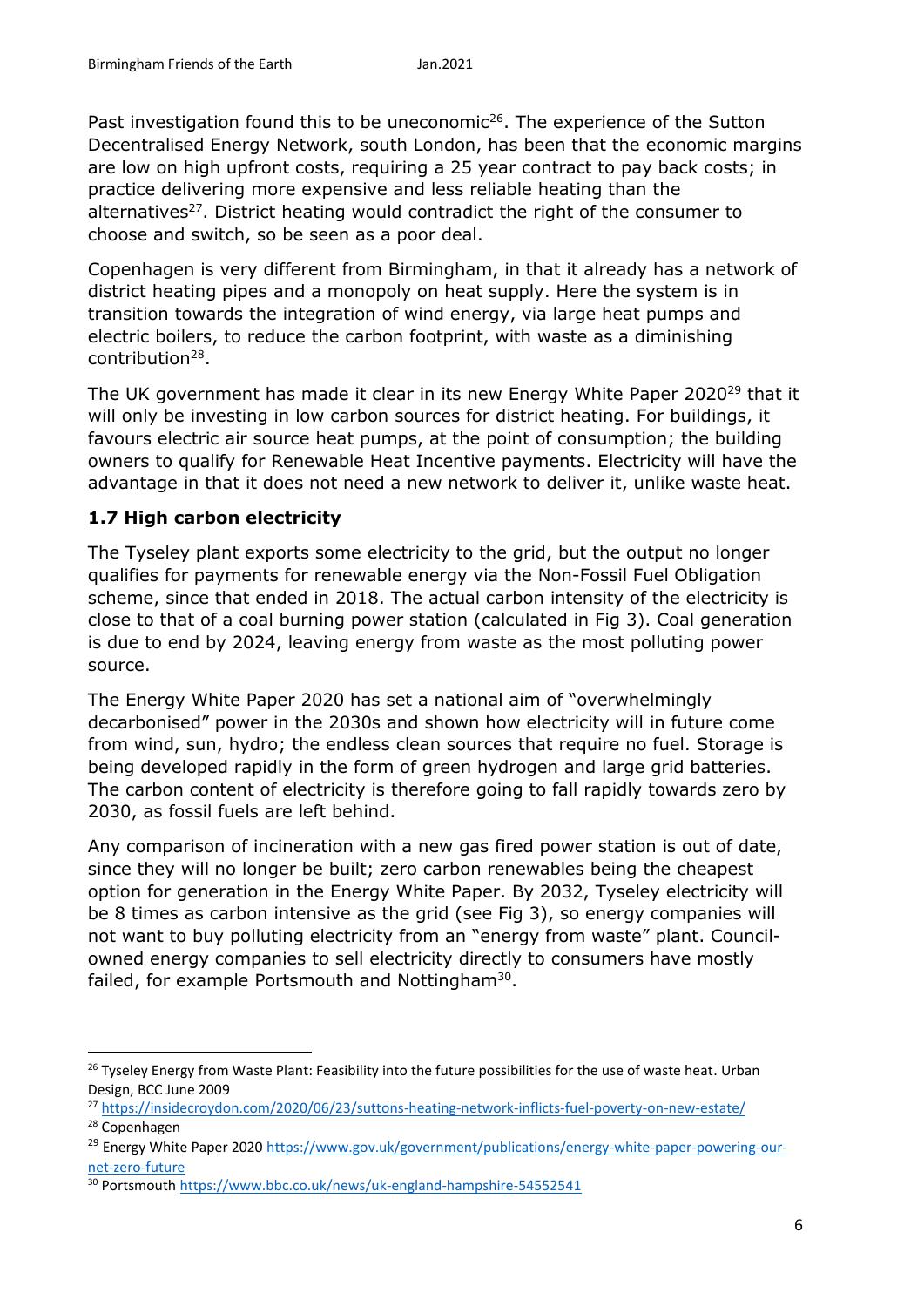Past investigation found this to be uneconomic<sup>26</sup>. The experience of the Sutton Decentralised Energy Network, south London, has been that the economic margins are low on high upfront costs, requiring a 25 year contract to pay back costs; in practice delivering more expensive and less reliable heating than the alternatives $27$ . District heating would contradict the right of the consumer to choose and switch, so be seen as a poor deal.

Copenhagen is very different from Birmingham, in that it already has a network of district heating pipes and a monopoly on heat supply. Here the system is in transition towards the integration of wind energy, via large heat pumps and electric boilers, to reduce the carbon footprint, with waste as a diminishing contribution<sup>28</sup>.

The UK government has made it clear in its new Energy White Paper 2020<sup>29</sup> that it will only be investing in low carbon sources for district heating. For buildings, it favours electric air source heat pumps, at the point of consumption; the building owners to qualify for Renewable Heat Incentive payments. Electricity will have the advantage in that it does not need a new network to deliver it, unlike waste heat.

## **1.7 High carbon electricity**

1

The Tyseley plant exports some electricity to the grid, but the output no longer qualifies for payments for renewable energy via the Non-Fossil Fuel Obligation scheme, since that ended in 2018. The actual carbon intensity of the electricity is close to that of a coal burning power station (calculated in Fig 3). Coal generation is due to end by 2024, leaving energy from waste as the most polluting power source.

The Energy White Paper 2020 has set a national aim of "overwhelmingly decarbonised" power in the 2030s and shown how electricity will in future come from wind, sun, hydro; the endless clean sources that require no fuel. Storage is being developed rapidly in the form of green hydrogen and large grid batteries. The carbon content of electricity is therefore going to fall rapidly towards zero by 2030, as fossil fuels are left behind.

Any comparison of incineration with a new gas fired power station is out of date, since they will no longer be built; zero carbon renewables being the cheapest option for generation in the Energy White Paper. By 2032, Tyseley electricity will be 8 times as carbon intensive as the grid (see Fig 3), so energy companies will not want to buy polluting electricity from an "energy from waste" plant. Councilowned energy companies to sell electricity directly to consumers have mostly failed, for example Portsmouth and Nottingham<sup>30</sup>.

<sup>&</sup>lt;sup>26</sup> Tyseley Energy from Waste Plant: Feasibility into the future possibilities for the use of waste heat. Urban Design, BCC June 2009

<sup>27</sup> <https://insidecroydon.com/2020/06/23/suttons-heating-network-inflicts-fuel-poverty-on-new-estate/> <sup>28</sup> Copenhagen

<sup>&</sup>lt;sup>29</sup> Energy White Paper 2020 https://www.gov.uk/government/publications/energy-white-paper-powering-ournet-zero-future

<sup>30</sup> Portsmouth<https://www.bbc.co.uk/news/uk-england-hampshire-54552541>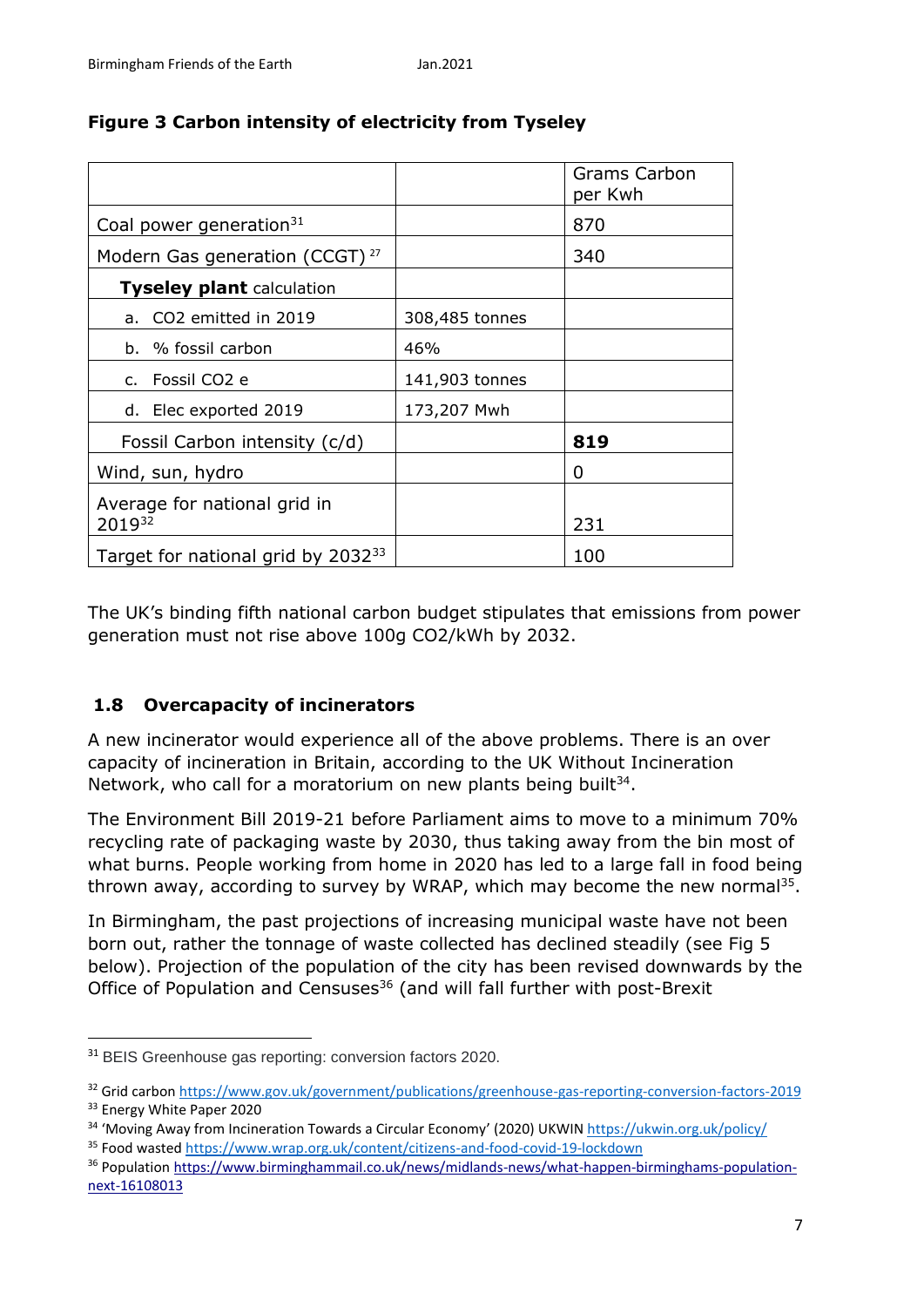|                                                |                | Grams Carbon<br>per Kwh |
|------------------------------------------------|----------------|-------------------------|
| Coal power generation $31$                     |                | 870                     |
| Modern Gas generation (CCGT) <sup>27</sup>     |                | 340                     |
| <b>Tyseley plant calculation</b>               |                |                         |
| a. CO2 emitted in 2019                         | 308,485 tonnes |                         |
| b. % fossil carbon                             | 46%            |                         |
| c. Fossil CO <sub>2</sub> e                    | 141,903 tonnes |                         |
| d. Elec exported 2019                          | 173,207 Mwh    |                         |
| Fossil Carbon intensity (c/d)                  |                | 819                     |
| Wind, sun, hydro                               |                | 0                       |
| Average for national grid in<br>201932         |                | 231                     |
| Target for national grid by 2032 <sup>33</sup> |                | 100                     |

# **Figure 3 Carbon intensity of electricity from Tyseley**

The UK's binding fifth national carbon budget stipulates that emissions from power generation must not rise above 100g CO2/kWh by 2032.

## **1.8 Overcapacity of incinerators**

A new incinerator would experience all of the above problems. There is an over capacity of incineration in Britain, according to the UK Without Incineration Network, who call for a moratorium on new plants being built<sup>34</sup>.

The Environment Bill 2019-21 before Parliament aims to move to a minimum 70% recycling rate of packaging waste by 2030, thus taking away from the bin most of what burns. People working from home in 2020 has led to a large fall in food being thrown away, according to survey by WRAP, which may become the new normal<sup>35</sup>.

In Birmingham, the past projections of increasing municipal waste have not been born out, rather the tonnage of waste collected has declined steadily (see Fig 5 below). Projection of the population of the city has been revised downwards by the Office of Population and Censuses<sup>36</sup> (and will fall further with post-Brexit

**.** 

<sup>&</sup>lt;sup>31</sup> BEIS Greenhouse gas reporting: conversion factors 2020.

<sup>32</sup> Grid carbon https://www.gov.uk/government/publications/greenhouse-gas-reporting-conversion-factors-2019 <sup>33</sup> Energy White Paper 2020

<sup>&</sup>lt;sup>34</sup> 'Moving Away from Incineration Towards a Circular Economy' (2020) UKWIN <https://ukwin.org.uk/policy/>

<sup>35</sup> Food wasted<https://www.wrap.org.uk/content/citizens-and-food-covid-19-lockdown>

<sup>36</sup> Population [https://www.birminghammail.co.uk/news/midlands-news/what-happen-birminghams-population](https://www.birminghammail.co.uk/news/midlands-news/what-happen-birminghams-population-next-16108013)[next-16108013](https://www.birminghammail.co.uk/news/midlands-news/what-happen-birminghams-population-next-16108013)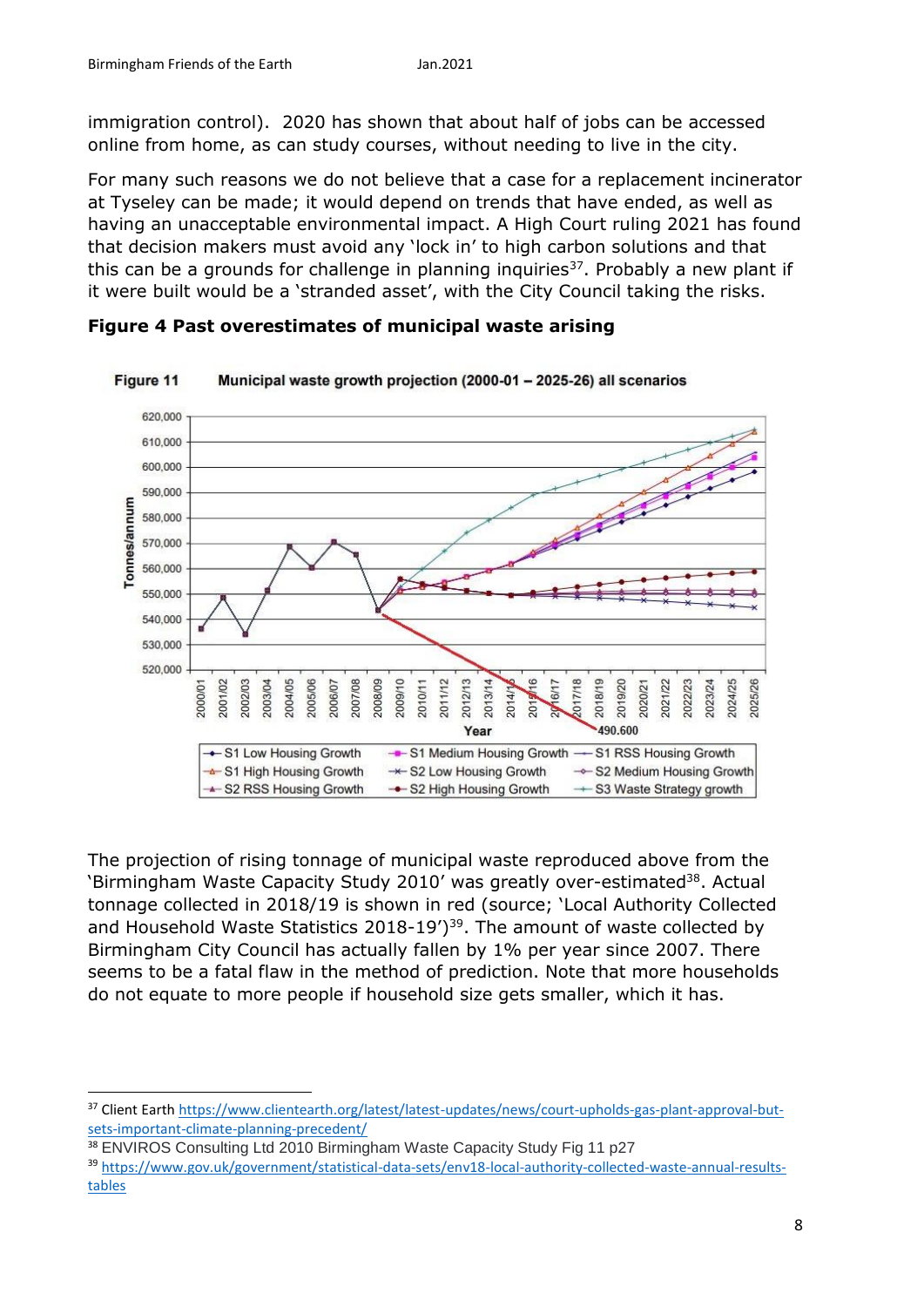immigration control). 2020 has shown that about half of jobs can be accessed online from home, as can study courses, without needing to live in the city.

For many such reasons we do not believe that a case for a replacement incinerator at Tyseley can be made; it would depend on trends that have ended, as well as having an unacceptable environmental impact. A High Court ruling 2021 has found that decision makers must avoid any 'lock in' to high carbon solutions and that this can be a grounds for challenge in planning inquiries $37$ . Probably a new plant if it were built would be a 'stranded asset', with the City Council taking the risks.



**Figure 4 Past overestimates of municipal waste arising**

The projection of rising tonnage of municipal waste reproduced above from the 'Birmingham Waste Capacity Study 2010' was greatly over-estimated<sup>38</sup>. Actual tonnage collected in 2018/19 is shown in red (source; 'Local Authority Collected and Household Waste Statistics  $2018-19'$ <sup>39</sup>. The amount of waste collected by Birmingham City Council has actually fallen by 1% per year since 2007. There seems to be a fatal flaw in the method of prediction. Note that more households do not equate to more people if household size gets smaller, which it has.

 $\overline{a}$ 

<sup>&</sup>lt;sup>37</sup> Client Earth [https://www.clientearth.org/latest/latest-updates/news/court-upholds-gas-plant-approval-but](https://www.clientearth.org/latest/latest-updates/news/court-upholds-gas-plant-approval-but-sets-important-climate-planning-precedent/)[sets-important-climate-planning-precedent/](https://www.clientearth.org/latest/latest-updates/news/court-upholds-gas-plant-approval-but-sets-important-climate-planning-precedent/)

<sup>&</sup>lt;sup>38</sup> ENVIROS Consulting Ltd 2010 Birmingham Waste Capacity Study Fig 11 p27

<sup>39</sup> [https://www.gov.uk/government/statistical-data-sets/env18-local-authority-collected-waste-annual-results](https://www.gov.uk/government/statistical-data-sets/env18-local-authority-collected-waste-annual-results-tables)[tables](https://www.gov.uk/government/statistical-data-sets/env18-local-authority-collected-waste-annual-results-tables)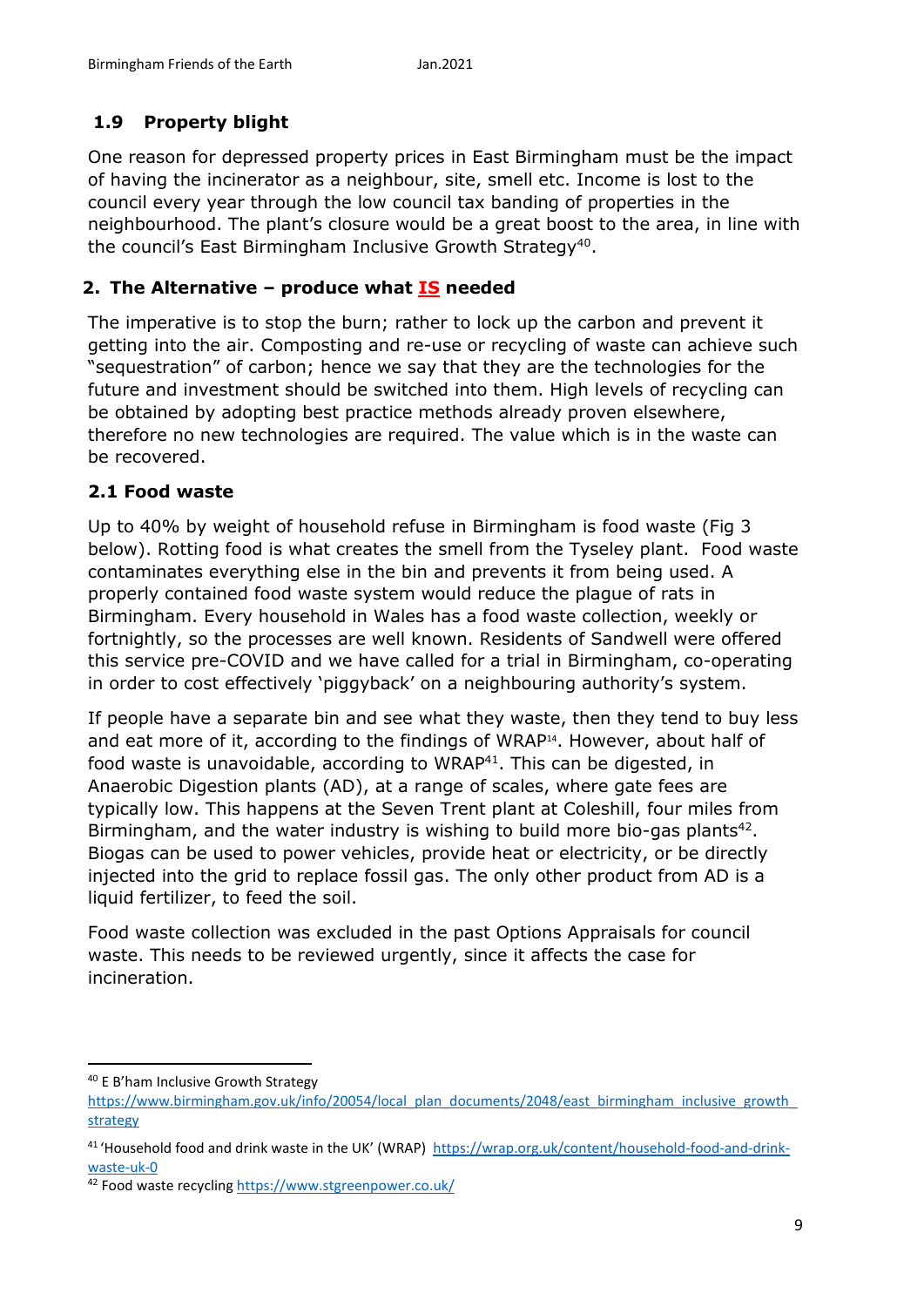# **1.9 Property blight**

One reason for depressed property prices in East Birmingham must be the impact of having the incinerator as a neighbour, site, smell etc. Income is lost to the council every year through the low council tax banding of properties in the neighbourhood. The plant's closure would be a great boost to the area, in line with the council's East Birmingham Inclusive Growth Strategy<sup>40</sup>.

## **2. The Alternative – produce what IS needed**

The imperative is to stop the burn; rather to lock up the carbon and prevent it getting into the air. Composting and re-use or recycling of waste can achieve such "sequestration" of carbon; hence we say that they are the technologies for the future and investment should be switched into them. High levels of recycling can be obtained by adopting best practice methods already proven elsewhere, therefore no new technologies are required. The value which is in the waste can be recovered.

#### **2.1 Food waste**

Up to 40% by weight of household refuse in Birmingham is food waste (Fig 3 below). Rotting food is what creates the smell from the Tyseley plant. Food waste contaminates everything else in the bin and prevents it from being used. A properly contained food waste system would reduce the plague of rats in Birmingham. Every household in Wales has a food waste collection, weekly or fortnightly, so the processes are well known. Residents of Sandwell were offered this service pre-COVID and we have called for a trial in Birmingham, co-operating in order to cost effectively 'piggyback' on a neighbouring authority's system.

If people have a separate bin and see what they waste, then they tend to buy less and eat more of it, according to the findings of WRAP<sup>14</sup> . However, about half of food waste is unavoidable, according to WRAP<sup>41</sup>. This can be digested, in Anaerobic Digestion plants (AD), at a range of scales, where gate fees are typically low. This happens at the Seven Trent plant at Coleshill, four miles from Birmingham, and the water industry is wishing to build more bio-gas plants<sup>42</sup>. Biogas can be used to power vehicles, provide heat or electricity, or be directly injected into the grid to replace fossil gas. The only other product from AD is a liquid fertilizer, to feed the soil.

Food waste collection was excluded in the past Options Appraisals for council waste. This needs to be reviewed urgently, since it affects the case for incineration.

**.** 

<sup>40</sup> E B'ham Inclusive Growth Strategy

https://www.birmingham.gov.uk/info/20054/local\_plan\_documents/2048/east\_birmingham\_inclusive\_growth strategy

<sup>41</sup> 'Household food and drink waste in the UK' (WRAP) https://wrap.org.uk/content/household-food-and-drinkwaste-uk-0

<sup>42</sup> Food waste recycling https://www.stgreenpower.co.uk/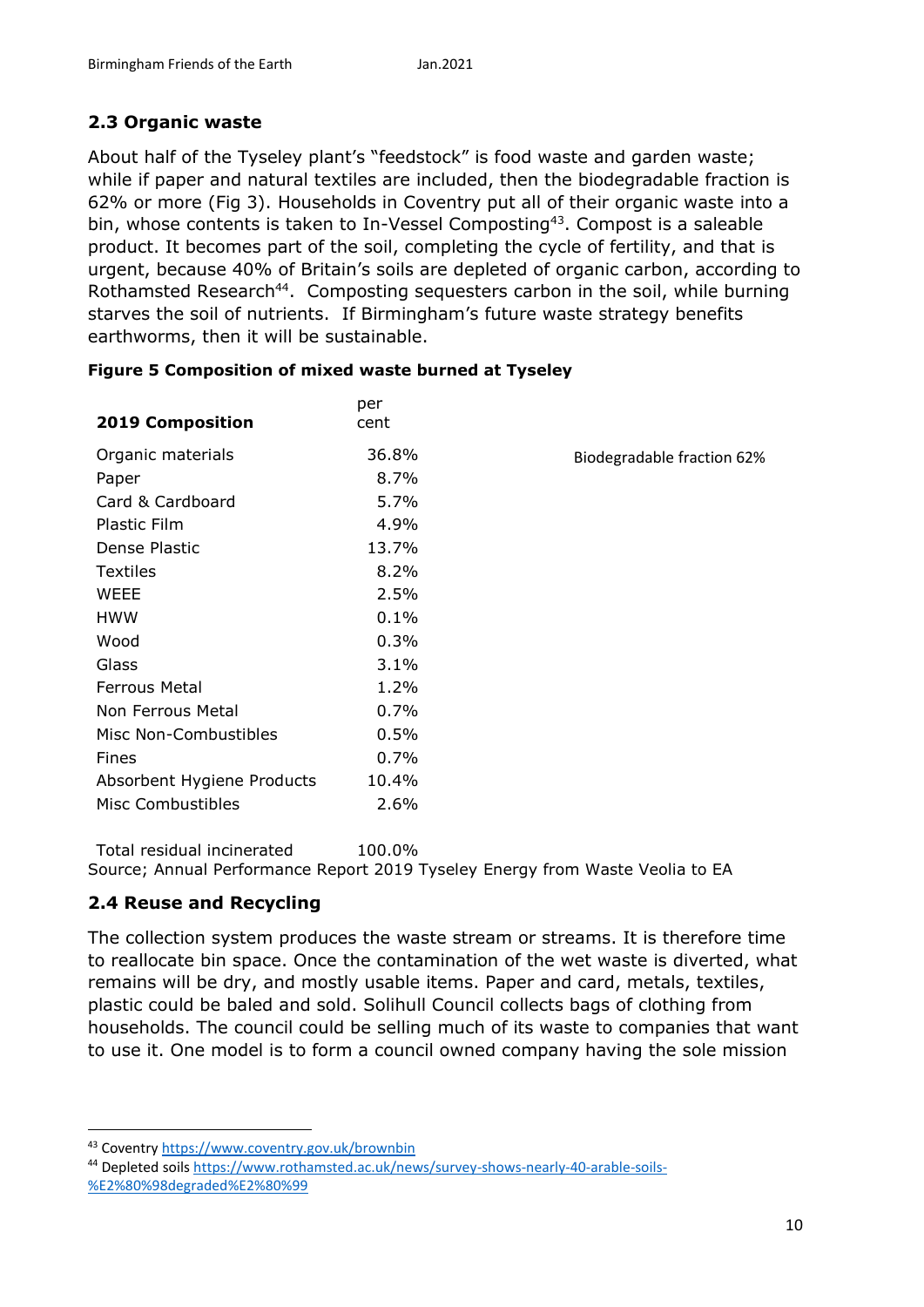# **2.3 Organic waste**

About half of the Tyseley plant's "feedstock" is food waste and garden waste; while if paper and natural textiles are included, then the biodegradable fraction is 62% or more (Fig 3). Households in Coventry put all of their organic waste into a bin, whose contents is taken to In-Vessel Composting<sup>43</sup>. Compost is a saleable product. It becomes part of the soil, completing the cycle of fertility, and that is urgent, because 40% of Britain's soils are depleted of organic carbon, according to Rothamsted Research<sup>44</sup>. Composting sequesters carbon in the soil, while burning starves the soil of nutrients. If Birmingham's future waste strategy benefits earthworms, then it will be sustainable.

| <b>2019 Composition</b>    | per<br>cent |                            |
|----------------------------|-------------|----------------------------|
| Organic materials          | 36.8%       | Biodegradable fraction 62% |
| Paper                      | 8.7%        |                            |
| Card & Cardboard           | 5.7%        |                            |
| Plastic Film               | 4.9%        |                            |
| Dense Plastic              | 13.7%       |                            |
| <b>Textiles</b>            | 8.2%        |                            |
| <b>WEEE</b>                | 2.5%        |                            |
| <b>HWW</b>                 | 0.1%        |                            |
| Wood                       | 0.3%        |                            |
| Glass                      | 3.1%        |                            |
| <b>Ferrous Metal</b>       | $1.2\%$     |                            |
| Non Ferrous Metal          | 0.7%        |                            |
| Misc Non-Combustibles      | 0.5%        |                            |
| Fines                      | 0.7%        |                            |
| Absorbent Hygiene Products | 10.4%       |                            |
| <b>Misc Combustibles</b>   | 2.6%        |                            |

|  | Figure 5 Composition of mixed waste burned at Tyseley |  |  |  |
|--|-------------------------------------------------------|--|--|--|
|  |                                                       |  |  |  |

Total residual incinerated 100.0% Source; Annual Performance Report 2019 Tyseley Energy from Waste Veolia to EA

## **2.4 Reuse and Recycling**

**.** 

The collection system produces the waste stream or streams. It is therefore time to reallocate bin space. Once the contamination of the wet waste is diverted, what remains will be dry, and mostly usable items. Paper and card, metals, textiles, plastic could be baled and sold. Solihull Council collects bags of clothing from households. The council could be selling much of its waste to companies that want to use it. One model is to form a council owned company having the sole mission

<sup>43</sup> Coventry https://www.coventry.gov.uk/brownbin

<sup>44</sup> Depleted soils https://www.rothamsted.ac.uk/news/survey-shows-nearly-40-arable-soils- %E2%80%98degraded%E2%80%99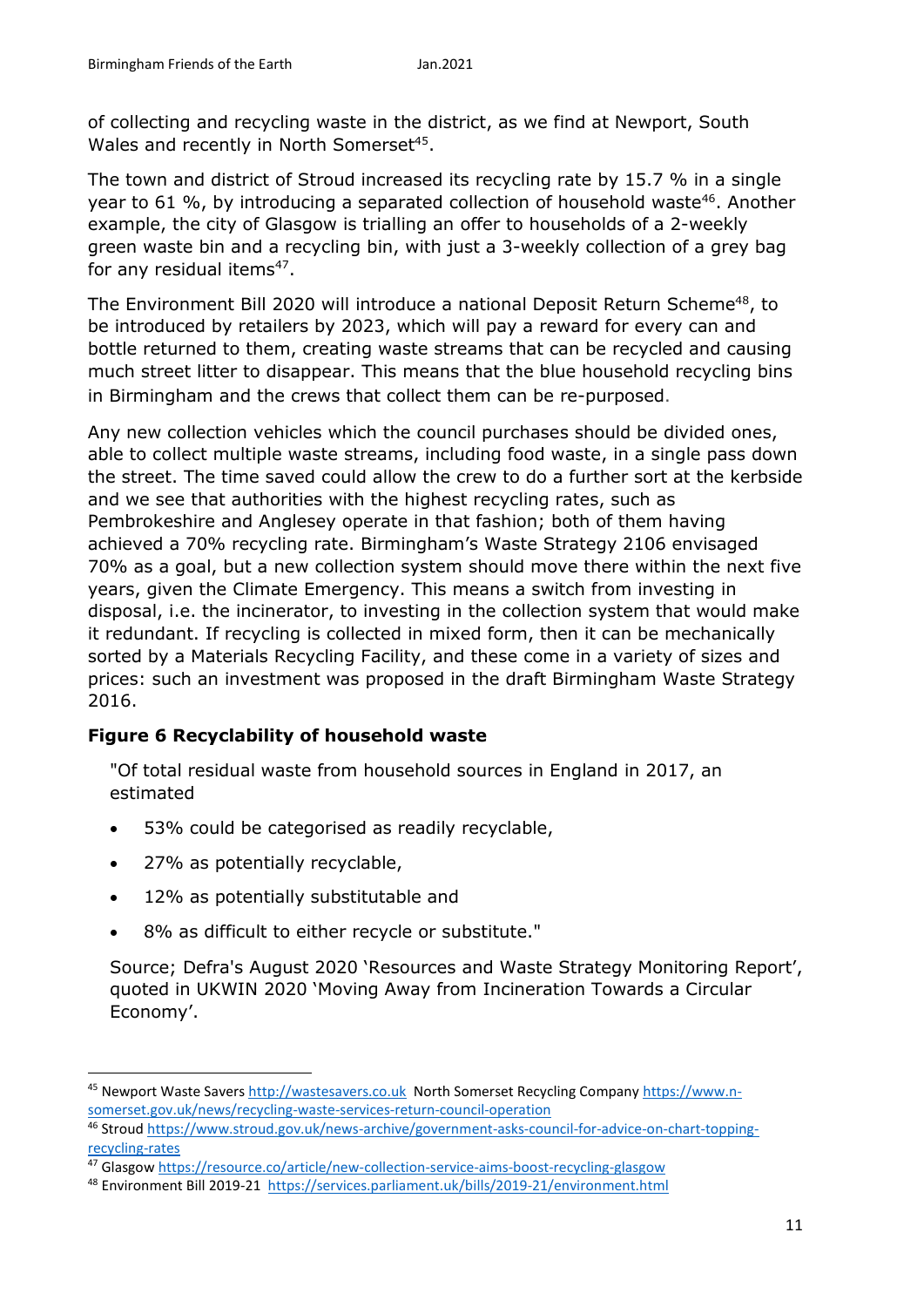of collecting and recycling waste in the district, as we find at Newport, South Wales and recently in North Somerset<sup>45</sup>.

The town and district of Stroud increased its recycling rate by 15.7 % in a single year to 61  $\%$ , by introducing a separated collection of household waste<sup>46</sup>. Another example, the city of Glasgow is trialling an offer to households of a 2-weekly green waste bin and a recycling bin, with just a 3-weekly collection of a grey bag for any residual items<sup>47</sup>.

The Environment Bill 2020 will introduce a national Deposit Return Scheme<sup>48</sup>, to be introduced by retailers by 2023, which will pay a reward for every can and bottle returned to them, creating waste streams that can be recycled and causing much street litter to disappear. This means that the blue household recycling bins in Birmingham and the crews that collect them can be re-purposed.

Any new collection vehicles which the council purchases should be divided ones, able to collect multiple waste streams, including food waste, in a single pass down the street. The time saved could allow the crew to do a further sort at the kerbside and we see that authorities with the highest recycling rates, such as Pembrokeshire and Anglesey operate in that fashion; both of them having achieved a 70% recycling rate. Birmingham's Waste Strategy 2106 envisaged 70% as a goal, but a new collection system should move there within the next five years, given the Climate Emergency. This means a switch from investing in disposal, i.e. the incinerator, to investing in the collection system that would make it redundant. If recycling is collected in mixed form, then it can be mechanically sorted by a Materials Recycling Facility, and these come in a variety of sizes and prices: such an investment was proposed in the draft Birmingham Waste Strategy 2016.

## **Figure 6 Recyclability of household waste**

"Of total residual waste from household sources in England in 2017, an estimated

- 53% could be categorised as readily recyclable,
- 27% as potentially recyclable,

**.** 

- 12% as potentially substitutable and
- 8% as difficult to either recycle or substitute."

Source; Defra's August 2020 'Resources and Waste Strategy Monitoring Report', quoted in UKWIN 2020 'Moving Away from Incineration Towards a Circular Economy'.

<sup>45</sup> Newport Waste Savers [http://wastesavers.co.uk](http://wastesavers.co.uk/) North Somerset Recycling Company [https://www.n](https://www.n-somerset.gov.uk/news/recycling-waste-services-return-council-operation)[somerset.gov.uk/news/recycling-waste-services-return-council-operation](https://www.n-somerset.gov.uk/news/recycling-waste-services-return-council-operation)

<sup>46</sup> Stroud [https://www.stroud.gov.uk/news-archive/government-asks-council-for-advice-on-chart-topping](https://www.stroud.gov.uk/news-archive/government-asks-council-for-advice-on-chart-topping-recycling-rates)[recycling-rates](https://www.stroud.gov.uk/news-archive/government-asks-council-for-advice-on-chart-topping-recycling-rates)

<sup>47</sup> Glasgow<https://resource.co/article/new-collection-service-aims-boost-recycling-glasgow>

<sup>48</sup> Environment Bill 2019-21 https://services.parliament.uk/bills/2019-21/environment.html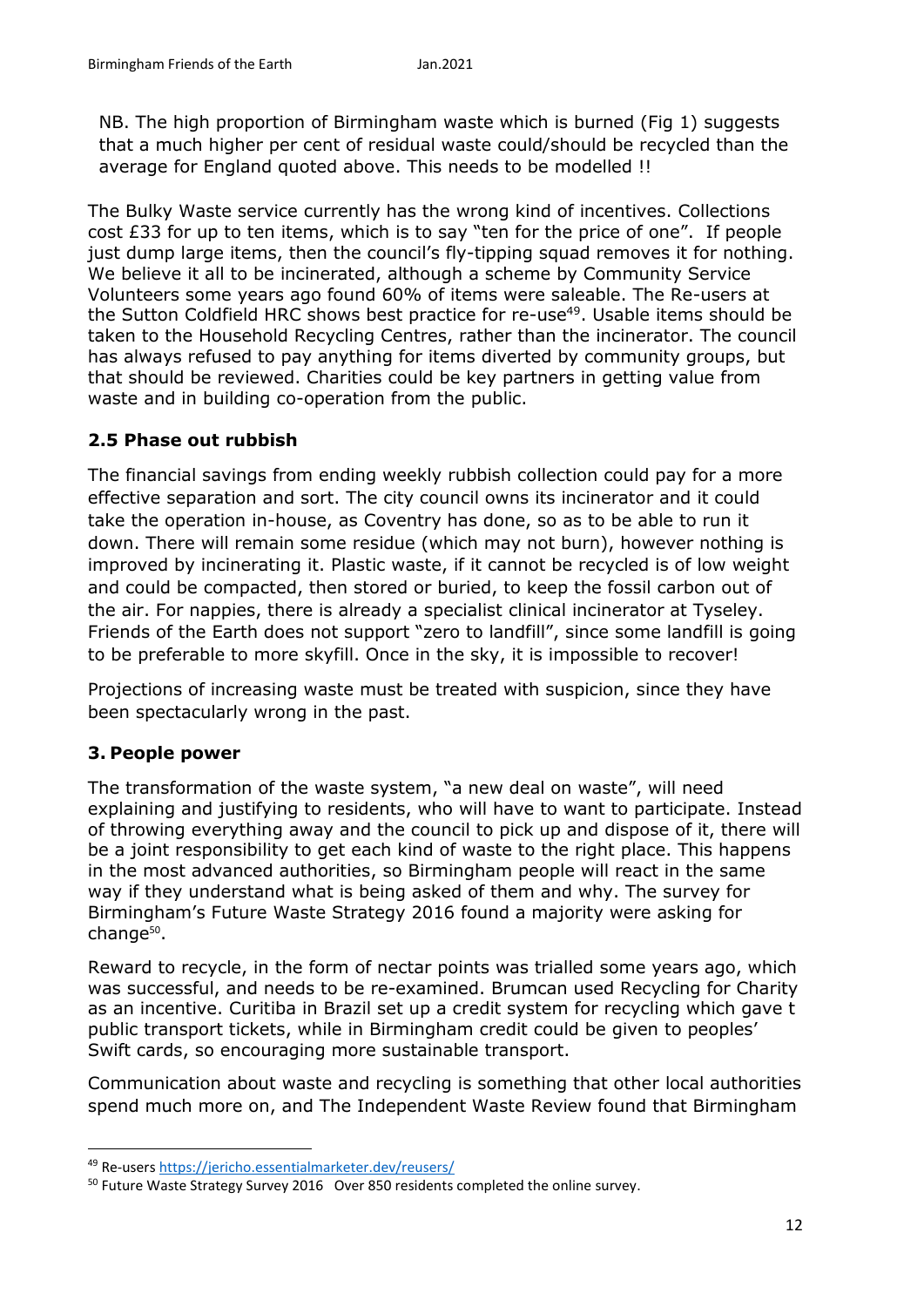NB. The high proportion of Birmingham waste which is burned (Fig 1) suggests that a much higher per cent of residual waste could/should be recycled than the average for England quoted above. This needs to be modelled !!

The Bulky Waste service currently has the wrong kind of incentives. Collections cost £33 for up to ten items, which is to say "ten for the price of one". If people just dump large items, then the council's fly-tipping squad removes it for nothing. We believe it all to be incinerated, although a scheme by Community Service Volunteers some years ago found 60% of items were saleable. The Re-users at the Sutton Coldfield HRC shows best practice for re-use<sup>49</sup>. Usable items should be taken to the Household Recycling Centres, rather than the incinerator. The council has always refused to pay anything for items diverted by community groups, but that should be reviewed. Charities could be key partners in getting value from waste and in building co-operation from the public.

#### **2.5 Phase out rubbish**

The financial savings from ending weekly rubbish collection could pay for a more effective separation and sort. The city council owns its incinerator and it could take the operation in-house, as Coventry has done, so as to be able to run it down. There will remain some residue (which may not burn), however nothing is improved by incinerating it. Plastic waste, if it cannot be recycled is of low weight and could be compacted, then stored or buried, to keep the fossil carbon out of the air. For nappies, there is already a specialist clinical incinerator at Tyseley. Friends of the Earth does not support "zero to landfill", since some landfill is going to be preferable to more skyfill. Once in the sky, it is impossible to recover!

Projections of increasing waste must be treated with suspicion, since they have been spectacularly wrong in the past.

#### **3. People power**

**.** 

The transformation of the waste system, "a new deal on waste", will need explaining and justifying to residents, who will have to want to participate. Instead of throwing everything away and the council to pick up and dispose of it, there will be a joint responsibility to get each kind of waste to the right place. This happens in the most advanced authorities, so Birmingham people will react in the same way if they understand what is being asked of them and why. The survey for Birmingham's Future Waste Strategy 2016 found a majority were asking for change<sup>50</sup>.

Reward to recycle, in the form of nectar points was trialled some years ago, which was successful, and needs to be re-examined. Brumcan used Recycling for Charity as an incentive. Curitiba in Brazil set up a credit system for recycling which gave t public transport tickets, while in Birmingham credit could be given to peoples' Swift cards, so encouraging more sustainable transport.

Communication about waste and recycling is something that other local authorities spend much more on, and The Independent Waste Review found that Birmingham

<sup>49</sup> Re-users https://jericho.essentialmarketer.dev/reusers/

<sup>&</sup>lt;sup>50</sup> Future Waste Strategy Survey 2016 Over 850 residents completed the online survey.